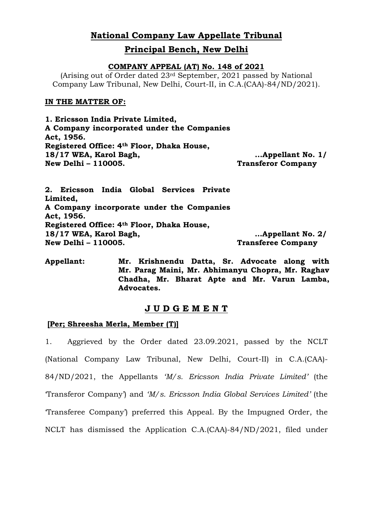# **National Company Law Appellate Tribunal**

# **Principal Bench, New Delhi**

### **COMPANY APPEAL (AT) No. 148 of 2021**

(Arising out of Order dated 23rd September, 2021 passed by National Company Law Tribunal, New Delhi, Court-II, in C.A.(CAA)-84/ND/2021).

### **IN THE MATTER OF:**

**1. Ericsson India Private Limited, A Company incorporated under the Companies Act, 1956. Registered Office: 4th Floor, Dhaka House, 18/17 WEA, Karol Bagh, New Delhi – 110005. ...Appellant No. 1/ Transferor Company**

**2. Ericsson India Global Services Private Limited, A Company incorporate under the Companies Act, 1956. Registered Office: 4th Floor, Dhaka House, 18/17 WEA, Karol Bagh, New Delhi – 110005. …Appellant No. 2/ Transferee Company**

**Appellant: Mr. Krishnendu Datta, Sr. Advocate along with Mr. Parag Maini, Mr. Abhimanyu Chopra, Mr. Raghav Chadha, Mr. Bharat Apte and Mr. Varun Lamba, Advocates.**

# **J U D G E M E N T**

## **[Per; Shreesha Merla, Member (T)]**

1. Aggrieved by the Order dated 23.09.2021, passed by the NCLT (National Company Law Tribunal, New Delhi, Court-II) in C.A.(CAA)- 84/ND/2021, the Appellants *"M/s. Ericsson India Private Limited"* (the 'Transferor Company') and *"M/s. Ericsson India Global Services Limited"* (the 'Transferee Company') preferred this Appeal. By the Impugned Order, the NCLT has dismissed the Application C.A.(CAA)-84/ND/2021, filed under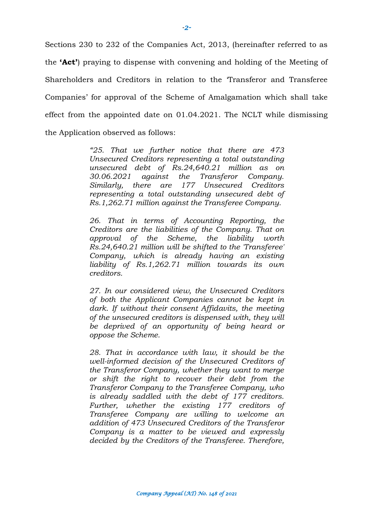Sections 230 to 232 of the Companies Act, 2013, (hereinafter referred to as the **'Act'**) praying to dispense with convening and holding of the Meeting of Shareholders and Creditors in relation to the 'Transferor and Transferee Companies' for approval of the Scheme of Amalgamation which shall take effect from the appointed date on 01.04.2021. The NCLT while dismissing the Application observed as follows:

> *"25. That we further notice that there are 473 Unsecured Creditors representing a total outstanding unsecured debt of Rs.24,640.21 million as on 30.06.2021 against the Transferor Company. Similarly, there are 177 Unsecured Creditors representing a total outstanding unsecured debt of Rs.1,262.71 million against the Transferee Company.*

> *26. That in terms of Accounting Reporting, the Creditors are the liabilities of the Company. That on approval of the Scheme, the liability worth Rs.24,640.21 million will be shifted to the 'Transferee' Company, which is already having an existing liability of Rs.1,262.71 million towards its own creditors.*

> *27. In our considered view, the Unsecured Creditors of both the Applicant Companies cannot be kept in dark. If without their consent Affidavits, the meeting of the unsecured creditors is dispensed with, they will be deprived of an opportunity of being heard or oppose the Scheme.*

> *28. That in accordance with law, it should be the well-informed decision of the Unsecured Creditors of the Transferor Company, whether they want to merge or shift the right to recover their debt from the Transferor Company to the Transferee Company, who is already saddled with the debt of 177 creditors. Further, whether the existing 177 creditors of Transferee Company are willing to welcome an addition of 473 Unsecured Creditors of the Transferor Company is a matter to be viewed and expressly decided by the Creditors of the Transferee. Therefore,*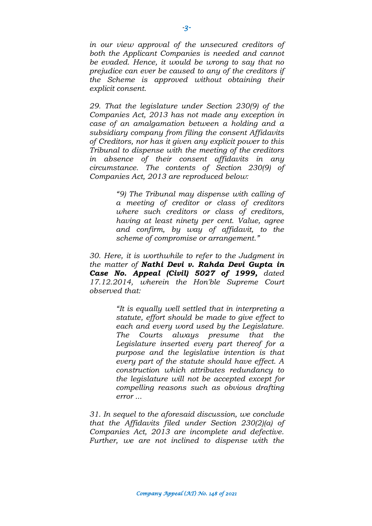*in our view approval of the unsecured creditors of both the Applicant Companies is needed and cannot be evaded. Hence, it would be wrong to say that no prejudice can ever be caused to any of the creditors if the Scheme is approved without obtaining their explicit consent.*

*29. That the legislature under Section 230(9) of the Companies Act, 2013 has not made any exception in case of an amalgamation between a holding and a subsidiary company from filing the consent Affidavits of Creditors, nor has it given any explicit power to this Tribunal to dispense with the meeting of the creditors in absence of their consent affidavits in any circumstance. The contents of Section 230(9) of Companies Act, 2013 are reproduced below:*

> *"9) The Tribunal may dispense with calling of a meeting of creditor or class of creditors where such creditors or class of creditors, having at least ninety per cent. Value, agree and confirm, by way of affidavit, to the scheme of compromise or arrangement."*

*30. Here, it is worthwhile to refer to the Judgment in the matter of Nathi Devi v. Rahda Devi Gupta in Case No. Appeal (Civil) 5027 of 1999, dated 17.12.2014, wherein the Hon'ble Supreme Court observed that:* 

> *"It is equally well settled that in interpreting a statute, effort should be made to give effect to each and every word used by the Legislature. The Courts always presume that the Legislature inserted every part thereof for a purpose and the legislative intention is that every part of the statute should have effect. A construction which attributes redundancy to the legislature will not be accepted except for compelling reasons such as obvious drafting error ...*

*31. In sequel to the aforesaid discussion, we conclude that the Affidavits filed under Section 230(2)(a) of Companies Act, 2013 are incomplete and defective. Further, we are not inclined to dispense with the*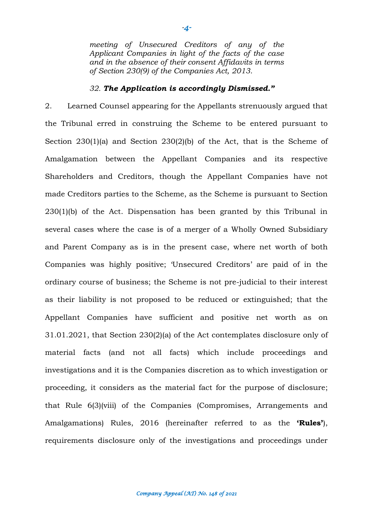*meeting of Unsecured Creditors of any of the Applicant Companies in light of the facts of the case and in the absence of their consent Affidavits in terms of Section 230(9) of the Companies Act, 2013.*

#### *32. The Application is accordingly Dismissed."*

2. Learned Counsel appearing for the Appellants strenuously argued that the Tribunal erred in construing the Scheme to be entered pursuant to Section 230(1)(a) and Section 230(2)(b) of the Act, that is the Scheme of Amalgamation between the Appellant Companies and its respective Shareholders and Creditors, though the Appellant Companies have not made Creditors parties to the Scheme, as the Scheme is pursuant to Section 230(1)(b) of the Act. Dispensation has been granted by this Tribunal in several cases where the case is of a merger of a Wholly Owned Subsidiary and Parent Company as is in the present case, where net worth of both Companies was highly positive; 'Unsecured Creditors' are paid of in the ordinary course of business; the Scheme is not pre-judicial to their interest as their liability is not proposed to be reduced or extinguished; that the Appellant Companies have sufficient and positive net worth as on 31.01.2021, that Section 230(2)(a) of the Act contemplates disclosure only of material facts (and not all facts) which include proceedings and investigations and it is the Companies discretion as to which investigation or proceeding, it considers as the material fact for the purpose of disclosure; that Rule 6(3)(viii) of the Companies (Compromises, Arrangements and Amalgamations) Rules, 2016 (hereinafter referred to as the **'Rules'**), requirements disclosure only of the investigations and proceedings under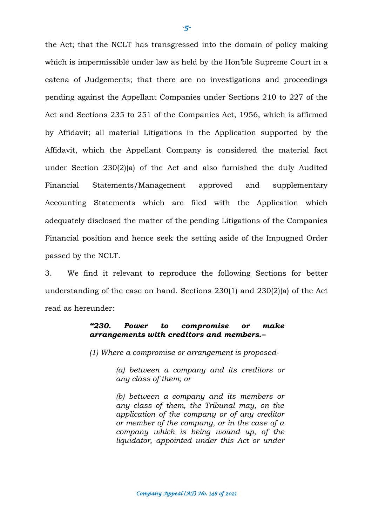the Act; that the NCLT has transgressed into the domain of policy making which is impermissible under law as held by the Hon'ble Supreme Court in a catena of Judgements; that there are no investigations and proceedings pending against the Appellant Companies under Sections 210 to 227 of the Act and Sections 235 to 251 of the Companies Act, 1956, which is affirmed by Affidavit; all material Litigations in the Application supported by the Affidavit, which the Appellant Company is considered the material fact under Section 230(2)(a) of the Act and also furnished the duly Audited Financial Statements/Management approved and supplementary Accounting Statements which are filed with the Application which adequately disclosed the matter of the pending Litigations of the Companies Financial position and hence seek the setting aside of the Impugned Order passed by the NCLT.

3. We find it relevant to reproduce the following Sections for better understanding of the case on hand. Sections 230(1) and 230(2)(a) of the Act read as hereunder:

#### *"230. Power to compromise or make arrangements with creditors and members.–*

*(1) Where a compromise or arrangement is proposed-*

*(a) between a company and its creditors or any class of them; or*

*(b) between a company and its members or any class of them, the Tribunal may, on the application of the company or of any creditor or member of the company, or in the case of a company which is being wound up, of the liquidator, appointed under this Act or under*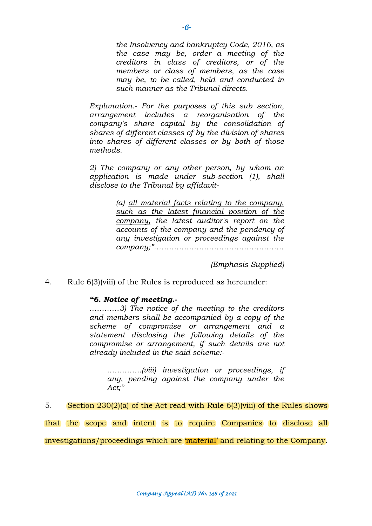*the Insolvency and bankruptcy Code, 2016, as the case may be, order a meeting of the creditors in class of creditors, or of the members or class of members, as the case may be, to be called, held and conducted in such manner as the Tribunal directs.*

*Explanation.- For the purposes of this sub section, arrangement includes a reorganisation of the company's share capital by the consolidation of shares of different classes of by the division of shares into shares of different classes or by both of those methods.*

*2) The company or any other person, by whom an application is made under sub-section (1), shall disclose to the Tribunal by affidavit-*

> *(a) all material facts relating to the company, such as the latest financial position of the company, the latest auditor's report on the accounts of the company and the pendency of any investigation or proceedings against the company;"…………………………………………….*

> > *(Emphasis Supplied)*

4. Rule 6(3)(viii) of the Rules is reproduced as hereunder:

#### *"6. Notice of meeting.-*

*…………3) The notice of the meeting to the creditors and members shall be accompanied by a copy of the scheme of compromise or arrangement and a statement disclosing the following details of the compromise or arrangement, if such details are not already included in the said scheme:-*

*…………..(viii) investigation or proceedings, if any, pending against the company under the Act;"*

5. Section 230(2)(a) of the Act read with Rule 6(3)(viii) of the Rules shows that the scope and intent is to require Companies to disclose all investigations/proceedings which are 'material' and relating to the Company.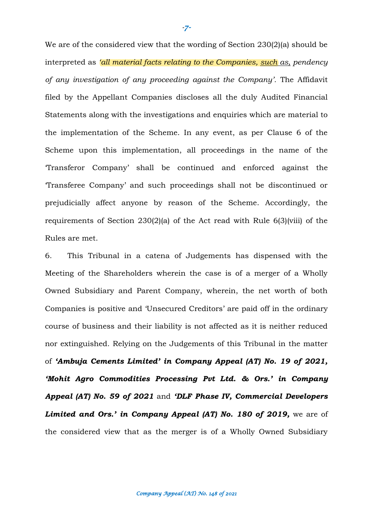We are of the considered view that the wording of Section 230(2)(a) should be interpreted as *"all material facts relating to the Companies, such as, pendency of any investigation of any proceeding against the Company".* The Affidavit filed by the Appellant Companies discloses all the duly Audited Financial Statements along with the investigations and enquiries which are material to the implementation of the Scheme. In any event, as per Clause 6 of the Scheme upon this implementation, all proceedings in the name of the 'Transferor Company' shall be continued and enforced against the 'Transferee Company' and such proceedings shall not be discontinued or prejudicially affect anyone by reason of the Scheme. Accordingly, the requirements of Section 230(2)(a) of the Act read with Rule 6(3)(viii) of the Rules are met.

6. This Tribunal in a catena of Judgements has dispensed with the Meeting of the Shareholders wherein the case is of a merger of a Wholly Owned Subsidiary and Parent Company, wherein, the net worth of both Companies is positive and 'Unsecured Creditors' are paid off in the ordinary course of business and their liability is not affected as it is neither reduced nor extinguished. Relying on the Judgements of this Tribunal in the matter of *"Ambuja Cements Limited" in Company Appeal (AT) No. 19 of 2021, "Mohit Agro Commodities Processing Pvt Ltd. & Ors." in Company Appeal (AT) No. 59 of 2021* and *"DLF Phase IV, Commercial Developers Limited and Ors." in Company Appeal (AT) No. 180 of 2019,* we are of the considered view that as the merger is of a Wholly Owned Subsidiary